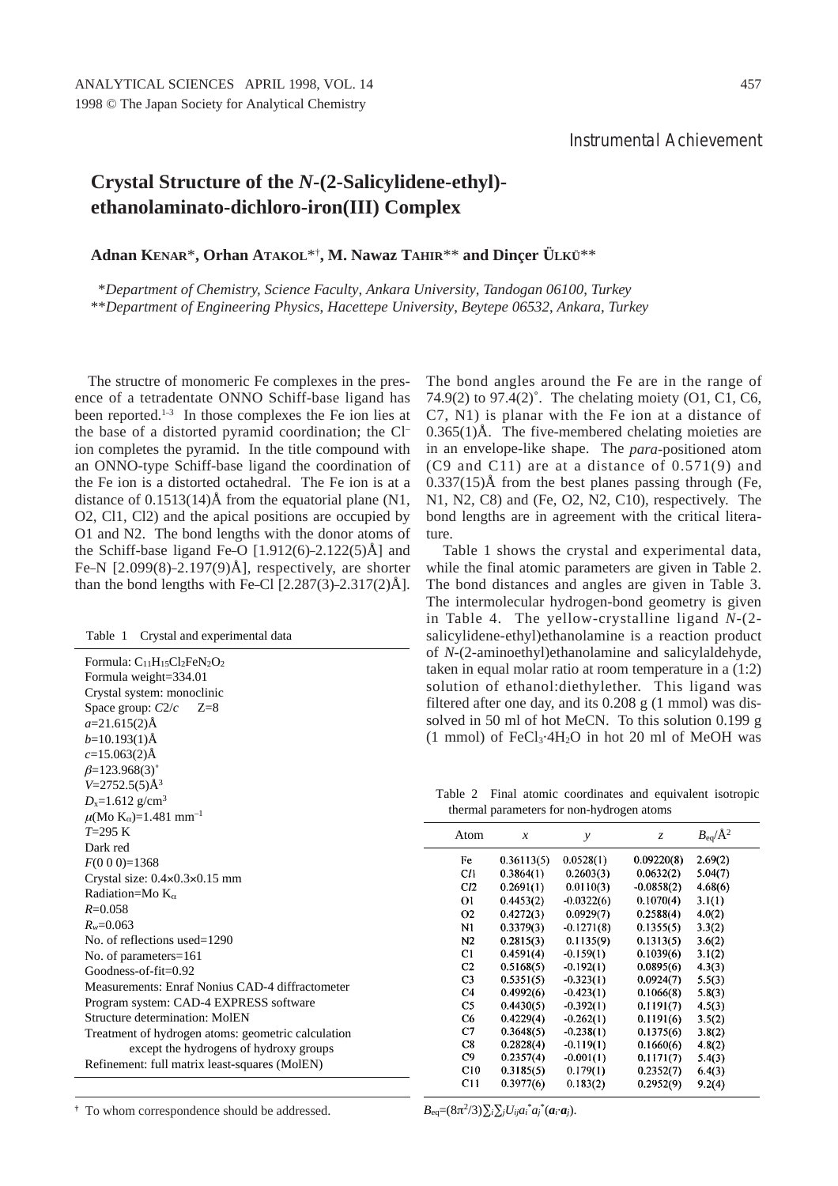## **Crystal Structure of the** *N***-(2-Salicylidene-ethyl) ethanolaminato-dichloro-iron(III) Complex**

**Adnan KENAR**\***, Orhan ATAKOL**\*†**, M. Nawaz TAHIR**\*\* **and Dinçer ÜLKÜ**\*\*

\**Department of Chemistry, Science Faculty*, *Ankara University*, *Tandogan 06100*, *Turkey* \*\**Department of Engineering Physics*, *Hacettepe University*, *Beytepe 06532*, *Ankara*, *Turkey*

The structre of monomeric Fe complexes in the presence of a tetradentate ONNO Schiff-base ligand has been reported.<sup>1-3</sup> In those complexes the Fe ion lies at the base of a distorted pyramid coordination; the Cl– ion completes the pyramid. In the title compound with an ONNO-type Schiff-base ligand the coordination of the Fe ion is a distorted octahedral. The Fe ion is at a distance of  $0.1513(14)$ Å from the equatorial plane (N1, O2, Cl1, Cl2) and the apical positions are occupied by O1 and N2. The bond lengths with the donor atoms of the Schiff-base ligand Fe–O  $[1.912(6)-2.122(5)$ Å] and Fe–N  $[2.099(8)-2.197(9)$ Å], respectively, are shorter than the bond lengths with Fe–Cl  $[2.287(3)-2.317(2)$ Ål.

Table 1 Crystal and experimental data

| Formula: $C_{11}H_{15}Cl_2FeN_2O_2$                |
|----------------------------------------------------|
| Formula weight=334.01                              |
| Crystal system: monoclinic                         |
| Space group: $C2/c$ Z=8                            |
| $a=21.615(2)$ Å                                    |
| $b=10.193(1)\text{\AA}$                            |
| $c=15.063(2)$ Å                                    |
| $\beta = 123.968(3)^{\circ}$                       |
| $V = 2752.5(5)$ Å <sup>3</sup>                     |
| $D_x = 1.612$ g/cm <sup>3</sup>                    |
| $\mu$ (Mo K <sub>α</sub> )=1.481 mm <sup>-1</sup>  |
| $T=295$ K                                          |
| Dark red                                           |
| $F(0\ 0\ 0)=1368$                                  |
| Crystal size: $0.4 \times 0.3 \times 0.15$ mm      |
| Radiation=Mo $K_{\alpha}$                          |
| $R = 0.058$                                        |
| $R_w = 0.063$                                      |
| No. of reflections used= $1290$                    |
| No. of parameters=161                              |
| $Goodness-of-fit = 0.92$                           |
| Measurements: Enraf Nonius CAD-4 diffractometer    |
| Program system: CAD-4 EXPRESS software             |
| Structure determination: MoIEN                     |
| Treatment of hydrogen atoms: geometric calculation |
| except the hydrogens of hydroxy groups             |
| Refinement: full matrix least-squares (MolEN)      |

The bond angles around the Fe are in the range of 74.9(2) to 97.4(2)°. The chelating moiety (O1, C1, C6, C7, N1) is planar with the Fe ion at a distance of  $0.365(1)$ Å. The five-membered chelating moieties are in an envelope-like shape. The *para*-positioned atom (C9 and C11) are at a distance of 0.571(9) and  $0.337(15)$ Å from the best planes passing through (Fe, N1, N2, C8) and (Fe, O2, N2, C10), respectively. The bond lengths are in agreement with the critical literature.

Table 1 shows the crystal and experimental data, while the final atomic parameters are given in Table 2. The bond distances and angles are given in Table 3. The intermolecular hydrogen-bond geometry is given in Table 4. The yellow-crystalline ligand *N*-(2 salicylidene-ethyl)ethanolamine is a reaction product of *N*-(2-aminoethyl)ethanolamine and salicylaldehyde, taken in equal molar ratio at room temperature in a (1:2) solution of ethanol:diethylether. This ligand was filtered after one day, and its 0.208 g (1 mmol) was dissolved in 50 ml of hot MeCN. To this solution 0.199 g (1 mmol) of  $FeCl<sub>3</sub>·4H<sub>2</sub>O$  in hot 20 ml of MeOH was

Table 2 Final atomic coordinates and equivalent isotropic thermal parameters for non-hydrogen atoms

| Atom           | $\mathcal{X}$ | y            | $\mathcal{Z}$ | $B_{\rm eq}/\rm \AA^2$ |  |
|----------------|---------------|--------------|---------------|------------------------|--|
| Fe             | 0.36113(5)    | 0.0528(1)    | 0.09220(8)    | 2.69(2)                |  |
| C/I            | 0.3864(1)     | 0.2603(3)    | 0.0632(2)     | 5.04(7)                |  |
| C12            | 0.2691(1)     | 0.0110(3)    | $-0.0858(2)$  | 4.68(6)                |  |
| Οl             | 0.4453(2)     | $-0.0322(6)$ | 0.1070(4)     | 3.1(1)                 |  |
| 02             | 0.4272(3)     | 0.0929(7)    | 0.2588(4)     | 4.0(2)                 |  |
| N1             | 0.3379(3)     | $-0.1271(8)$ | 0.1355(5)     | 3.3(2)                 |  |
| N <sub>2</sub> | 0.2815(3)     | 0.1135(9)    | 0.1313(5)     | 3.6(2)                 |  |
| C1             | 0.4591(4)     | $-0.159(1)$  | 0.1039(6)     | 3.1(2)                 |  |
| C <sub>2</sub> | 0.5168(5)     | $-0.192(1)$  | 0.0895(6)     | 4.3(3)                 |  |
| C <sub>3</sub> | 0.5351(5)     | $-0.323(1)$  | 0.0924(7)     | 5.5(3)                 |  |
| C <sub>4</sub> | 0.4992(6)     | $-0.423(1)$  | 0.1066(8)     | 5.8(3)                 |  |
| C <sub>5</sub> | 0.4430(5)     | $-0.392(1)$  | 0.1191(7)     | 4.5(3)                 |  |
| C <sub>6</sub> | 0.4229(4)     | $-0.262(1)$  | 0.1191(6)     | 3.5(2)                 |  |
| C7             | 0.3648(5)     | $-0.238(1)$  | 0.1375(6)     | 3.8(2)                 |  |
| C8             | 0.2828(4)     | $-0.119(1)$  | 0.1660(6)     | 4.8(2)                 |  |
| C9             | 0.2357(4)     | $-0.001(1)$  | 0.1171(7)     | 5.4(3)                 |  |
| C10            | 0.3185(5)     | 0.179(1)     | 0.2352(7)     | 6.4(3)                 |  |
| C11            | 0.3977(6)     | 0.183(2)     | 0.2952(9)     | 9.2(4)                 |  |

 $B_{\text{eq}} = (8\pi^2/3) \sum_i \sum_j U_{ij} a_i^* a_j^* (a_i \cdot a_j).$